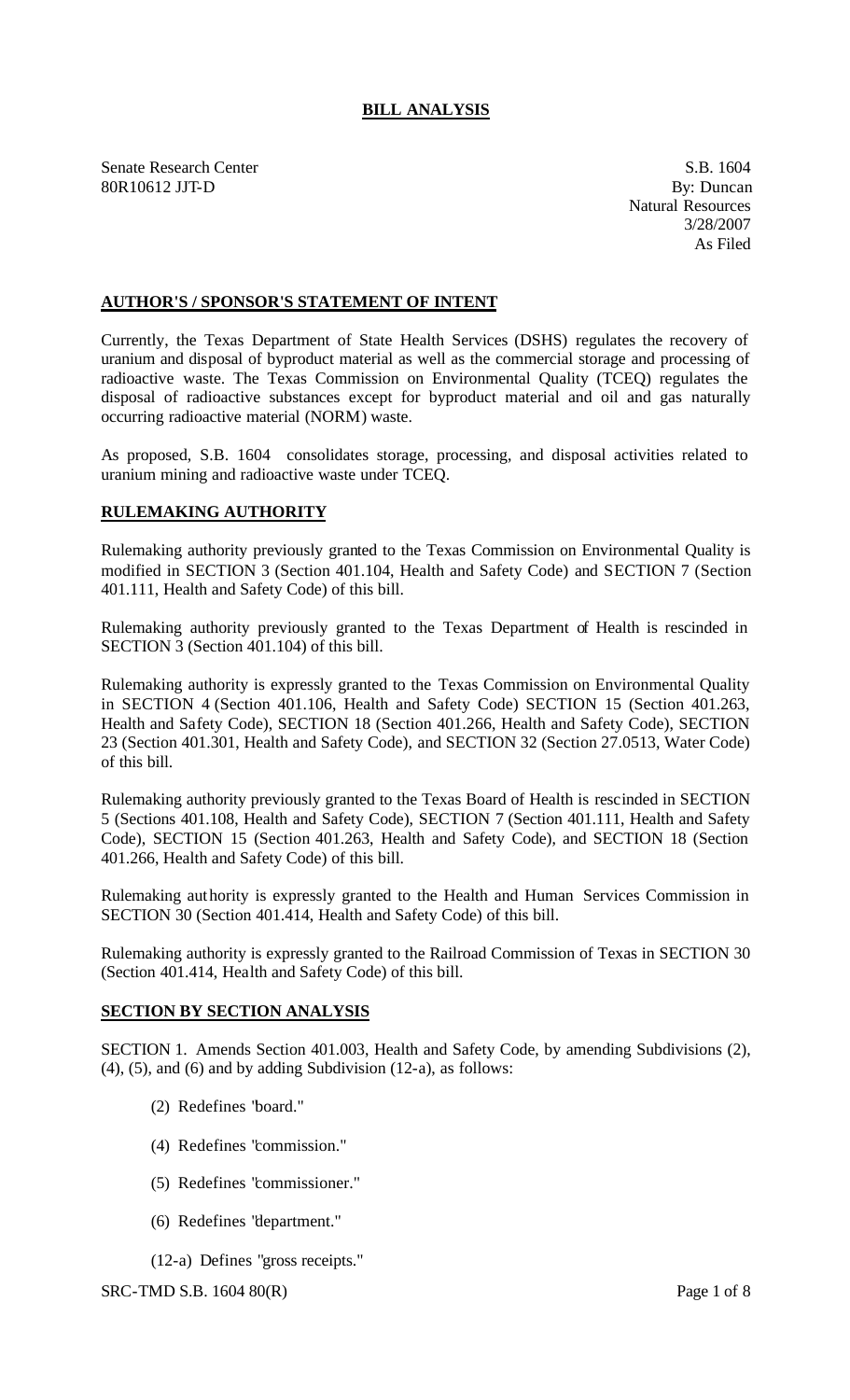# **BILL ANALYSIS**

Senate Research Center S.B. 1604 80R10612 JJT-D By: Duncan

Natural Resources 3/28/2007 As Filed

## **AUTHOR'S / SPONSOR'S STATEMENT OF INTENT**

Currently, the Texas Department of State Health Services (DSHS) regulates the recovery of uranium and disposal of byproduct material as well as the commercial storage and processing of radioactive waste. The Texas Commission on Environmental Quality (TCEQ) regulates the disposal of radioactive substances except for byproduct material and oil and gas naturally occurring radioactive material (NORM) waste.

As proposed, S.B. 1604 consolidates storage, processing, and disposal activities related to uranium mining and radioactive waste under TCEQ.

#### **RULEMAKING AUTHORITY**

Rulemaking authority previously granted to the Texas Commission on Environmental Quality is modified in SECTION 3 (Section 401.104, Health and Safety Code) and SECTION 7 (Section 401.111, Health and Safety Code) of this bill.

Rulemaking authority previously granted to the Texas Department of Health is rescinded in SECTION 3 (Section 401.104) of this bill.

Rulemaking authority is expressly granted to the Texas Commission on Environmental Quality in SECTION 4 (Section 401.106, Health and Safety Code) SECTION 15 (Section 401.263, Health and Safety Code), SECTION 18 (Section 401.266, Health and Safety Code), SECTION 23 (Section 401.301, Health and Safety Code), and SECTION 32 (Section 27.0513, Water Code) of this bill.

Rulemaking authority previously granted to the Texas Board of Health is rescinded in SECTION 5 (Sections 401.108, Health and Safety Code), SECTION 7 (Section 401.111, Health and Safety Code), SECTION 15 (Section 401.263, Health and Safety Code), and SECTION 18 (Section 401.266, Health and Safety Code) of this bill.

Rulemaking authority is expressly granted to the Health and Human Services Commission in SECTION 30 (Section 401.414, Health and Safety Code) of this bill.

Rulemaking authority is expressly granted to the Railroad Commission of Texas in SECTION 30 (Section 401.414, Health and Safety Code) of this bill.

#### **SECTION BY SECTION ANALYSIS**

SECTION 1. Amends Section 401.003, Health and Safety Code, by amending Subdivisions (2),  $(4)$ ,  $(5)$ , and  $(6)$  and by adding Subdivision  $(12-a)$ , as follows:

- (2) Redefines "board."
- (4) Redefines "commission."
- (5) Redefines "commissioner."
- (6) Redefines "department."
- (12-a) Defines "gross receipts."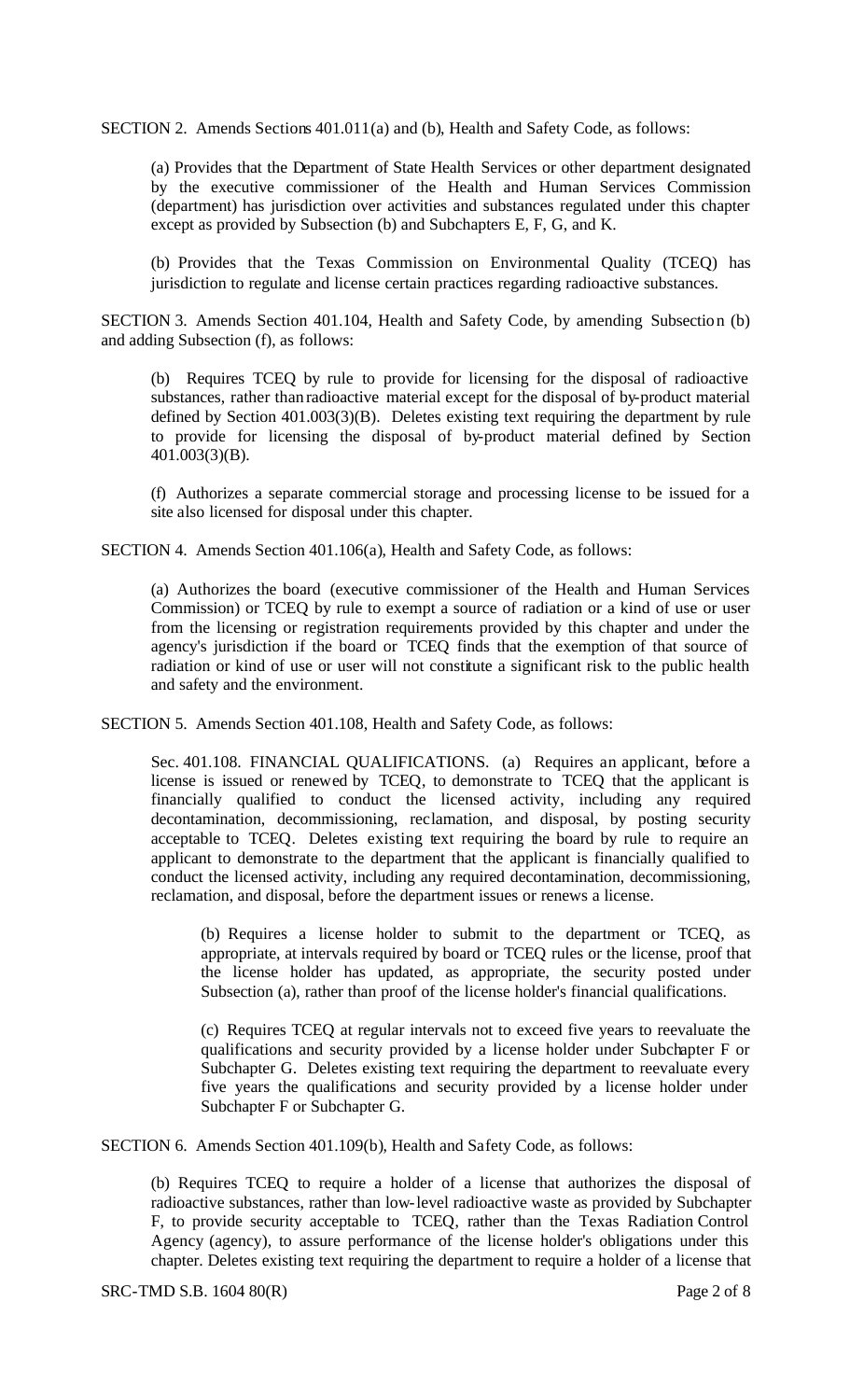SECTION 2. Amends Sections 401.011(a) and (b), Health and Safety Code, as follows:

(a) Provides that the Department of State Health Services or other department designated by the executive commissioner of the Health and Human Services Commission (department) has jurisdiction over activities and substances regulated under this chapter except as provided by Subsection (b) and Subchapters E, F, G, and K.

(b) Provides that the Texas Commission on Environmental Quality (TCEQ) has jurisdiction to regulate and license certain practices regarding radioactive substances.

SECTION 3. Amends Section 401.104, Health and Safety Code, by amending Subsection (b) and adding Subsection (f), as follows:

(b) Requires TCEQ by rule to provide for licensing for the disposal of radioactive substances, rather than radioactive material except for the disposal of by-product material defined by Section 401.003(3)(B). Deletes existing text requiring the department by rule to provide for licensing the disposal of by-product material defined by Section 401.003(3)(B).

(f) Authorizes a separate commercial storage and processing license to be issued for a site also licensed for disposal under this chapter.

SECTION 4. Amends Section 401.106(a), Health and Safety Code, as follows:

(a) Authorizes the board (executive commissioner of the Health and Human Services Commission) or TCEQ by rule to exempt a source of radiation or a kind of use or user from the licensing or registration requirements provided by this chapter and under the agency's jurisdiction if the board or TCEQ finds that the exemption of that source of radiation or kind of use or user will not constitute a significant risk to the public health and safety and the environment.

SECTION 5. Amends Section 401.108, Health and Safety Code, as follows:

Sec. 401.108. FINANCIAL QUALIFICATIONS. (a) Requires an applicant, before a license is issued or renewed by TCEQ, to demonstrate to TCEQ that the applicant is financially qualified to conduct the licensed activity, including any required decontamination, decommissioning, reclamation, and disposal, by posting security acceptable to TCEQ. Deletes existing text requiring the board by rule to require an applicant to demonstrate to the department that the applicant is financially qualified to conduct the licensed activity, including any required decontamination, decommissioning, reclamation, and disposal, before the department issues or renews a license.

(b) Requires a license holder to submit to the department or TCEQ, as appropriate, at intervals required by board or TCEQ rules or the license, proof that the license holder has updated, as appropriate, the security posted under Subsection (a), rather than proof of the license holder's financial qualifications.

(c) Requires TCEQ at regular intervals not to exceed five years to reevaluate the qualifications and security provided by a license holder under Subchapter F or Subchapter G. Deletes existing text requiring the department to reevaluate every five years the qualifications and security provided by a license holder under Subchapter F or Subchapter G.

SECTION 6. Amends Section 401.109(b), Health and Safety Code, as follows:

(b) Requires TCEQ to require a holder of a license that authorizes the disposal of radioactive substances, rather than low-level radioactive waste as provided by Subchapter F, to provide security acceptable to TCEQ, rather than the Texas Radiation Control Agency (agency), to assure performance of the license holder's obligations under this chapter. Deletes existing text requiring the department to require a holder of a license that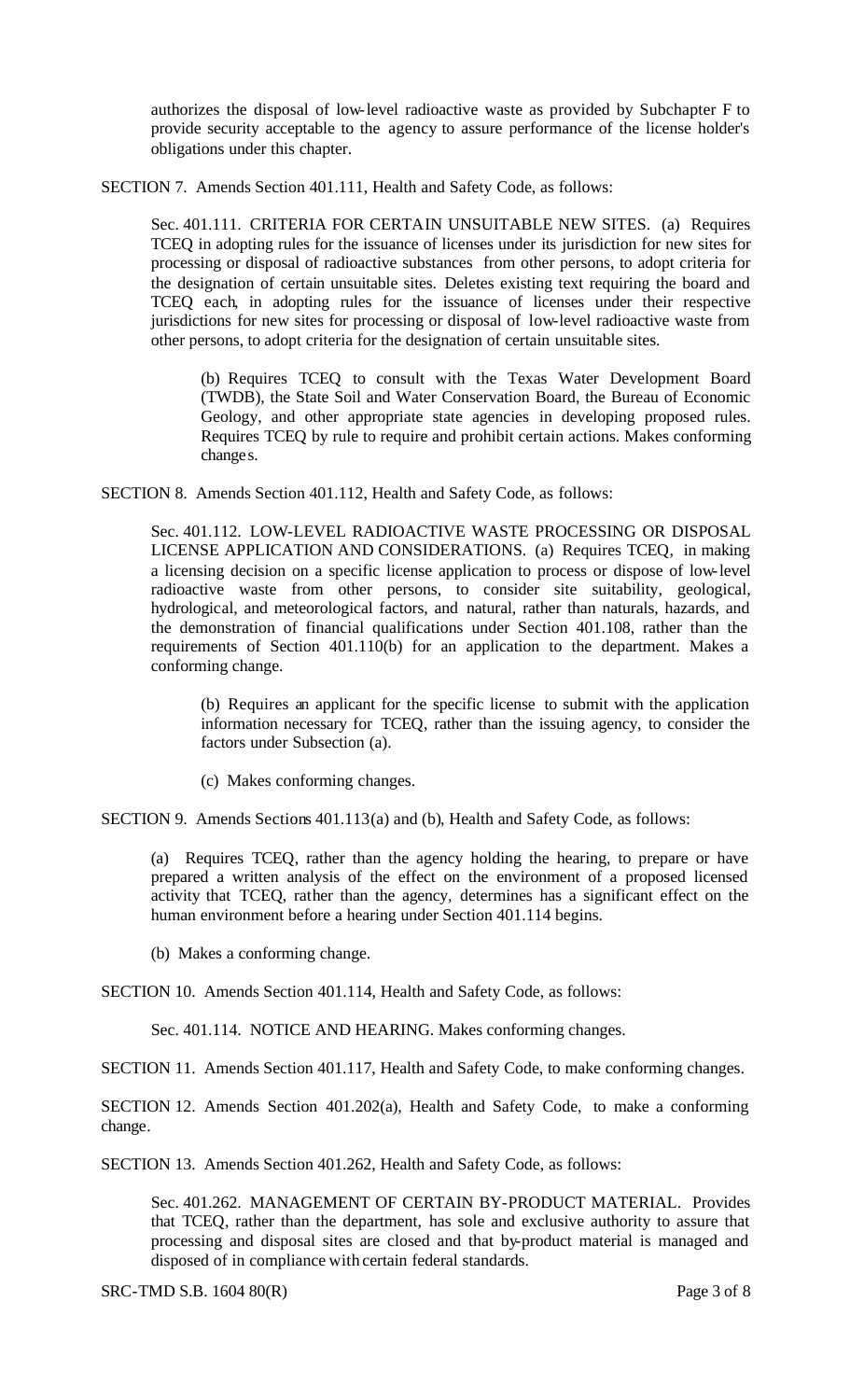authorizes the disposal of low-level radioactive waste as provided by Subchapter F to provide security acceptable to the agency to assure performance of the license holder's obligations under this chapter.

SECTION 7. Amends Section 401.111, Health and Safety Code, as follows:

Sec. 401.111. CRITERIA FOR CERTAIN UNSUITABLE NEW SITES. (a) Requires TCEQ in adopting rules for the issuance of licenses under its jurisdiction for new sites for processing or disposal of radioactive substances from other persons, to adopt criteria for the designation of certain unsuitable sites. Deletes existing text requiring the board and TCEQ each, in adopting rules for the issuance of licenses under their respective jurisdictions for new sites for processing or disposal of low-level radioactive waste from other persons, to adopt criteria for the designation of certain unsuitable sites.

(b) Requires TCEQ to consult with the Texas Water Development Board (TWDB), the State Soil and Water Conservation Board, the Bureau of Economic Geology, and other appropriate state agencies in developing proposed rules. Requires TCEQ by rule to require and prohibit certain actions. Makes conforming changes.

SECTION 8. Amends Section 401.112, Health and Safety Code, as follows:

Sec. 401.112. LOW-LEVEL RADIOACTIVE WASTE PROCESSING OR DISPOSAL LICENSE APPLICATION AND CONSIDERATIONS. (a) Requires TCEQ, in making a licensing decision on a specific license application to process or dispose of low-level radioactive waste from other persons, to consider site suitability, geological, hydrological, and meteorological factors, and natural, rather than naturals, hazards, and the demonstration of financial qualifications under Section 401.108, rather than the requirements of Section 401.110(b) for an application to the department. Makes a conforming change.

(b) Requires an applicant for the specific license to submit with the application information necessary for TCEQ, rather than the issuing agency, to consider the factors under Subsection (a).

(c) Makes conforming changes.

SECTION 9. Amends Sections 401.113(a) and (b), Health and Safety Code, as follows:

(a) Requires TCEQ, rather than the agency holding the hearing, to prepare or have prepared a written analysis of the effect on the environment of a proposed licensed activity that TCEQ, rather than the agency, determines has a significant effect on the human environment before a hearing under Section 401.114 begins.

(b) Makes a conforming change.

SECTION 10. Amends Section 401.114, Health and Safety Code, as follows:

Sec. 401.114. NOTICE AND HEARING. Makes conforming changes.

SECTION 11. Amends Section 401.117, Health and Safety Code, to make conforming changes.

SECTION 12. Amends Section 401.202(a), Health and Safety Code, to make a conforming change.

SECTION 13. Amends Section 401.262, Health and Safety Code, as follows:

Sec. 401.262. MANAGEMENT OF CERTAIN BY-PRODUCT MATERIAL. Provides that TCEQ, rather than the department, has sole and exclusive authority to assure that processing and disposal sites are closed and that by-product material is managed and disposed of in compliance with certain federal standards.

SRC-TMD S.B. 1604 80(R) Page 3 of 8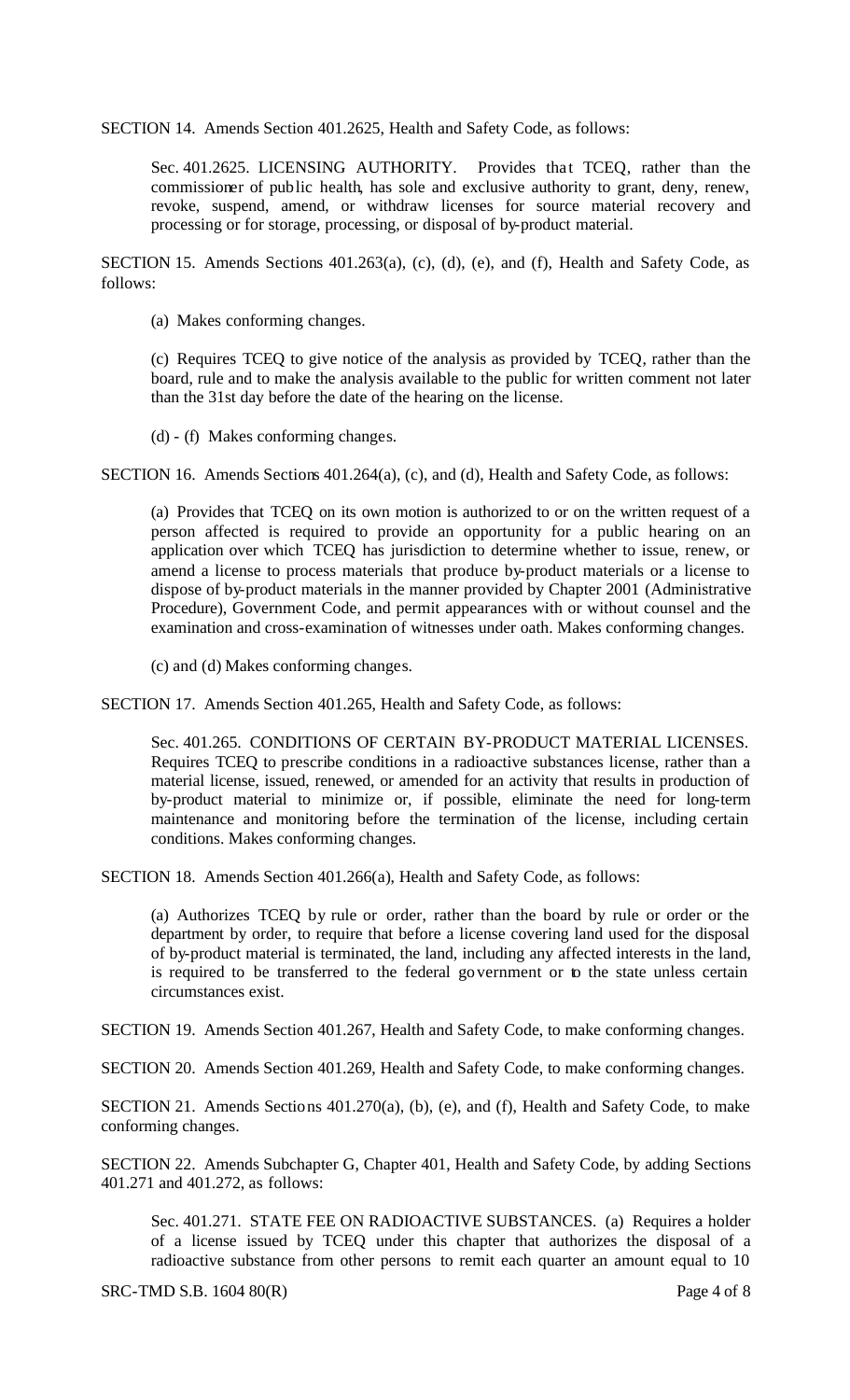SECTION 14. Amends Section 401.2625, Health and Safety Code, as follows:

Sec. 401.2625. LICENSING AUTHORITY. Provides that TCEQ, rather than the commissioner of public health, has sole and exclusive authority to grant, deny, renew, revoke, suspend, amend, or withdraw licenses for source material recovery and processing or for storage, processing, or disposal of by-product material.

SECTION 15. Amends Sections 401.263(a), (c), (d), (e), and (f), Health and Safety Code, as follows:

(a) Makes conforming changes.

(c) Requires TCEQ to give notice of the analysis as provided by TCEQ, rather than the board, rule and to make the analysis available to the public for written comment not later than the 31st day before the date of the hearing on the license.

(d) - (f) Makes conforming changes.

SECTION 16. Amends Sections 401.264(a), (c), and (d), Health and Safety Code, as follows:

(a) Provides that TCEQ on its own motion is authorized to or on the written request of a person affected is required to provide an opportunity for a public hearing on an application over which TCEQ has jurisdiction to determine whether to issue, renew, or amend a license to process materials that produce by-product materials or a license to dispose of by-product materials in the manner provided by Chapter 2001 (Administrative Procedure), Government Code, and permit appearances with or without counsel and the examination and cross-examination of witnesses under oath. Makes conforming changes.

(c) and (d) Makes conforming changes.

SECTION 17. Amends Section 401.265, Health and Safety Code, as follows:

Sec. 401.265. CONDITIONS OF CERTAIN BY-PRODUCT MATERIAL LICENSES. Requires TCEQ to prescribe conditions in a radioactive substances license, rather than a material license, issued, renewed, or amended for an activity that results in production of by-product material to minimize or, if possible, eliminate the need for long-term maintenance and monitoring before the termination of the license, including certain conditions. Makes conforming changes.

SECTION 18. Amends Section 401.266(a), Health and Safety Code, as follows:

(a) Authorizes TCEQ by rule or order, rather than the board by rule or order or the department by order, to require that before a license covering land used for the disposal of by-product material is terminated, the land, including any affected interests in the land, is required to be transferred to the federal government or to the state unless certain circumstances exist.

SECTION 19. Amends Section 401.267, Health and Safety Code, to make conforming changes.

SECTION 20. Amends Section 401.269, Health and Safety Code, to make conforming changes.

SECTION 21. Amends Sections 401.270(a), (b), (e), and (f), Health and Safety Code, to make conforming changes.

SECTION 22. Amends Subchapter G, Chapter 401, Health and Safety Code, by adding Sections 401.271 and 401.272, as follows:

Sec. 401.271. STATE FEE ON RADIOACTIVE SUBSTANCES. (a) Requires a holder of a license issued by TCEQ under this chapter that authorizes the disposal of a radioactive substance from other persons to remit each quarter an amount equal to 10

SRC-TMD S.B. 1604 80(R) Page 4 of 8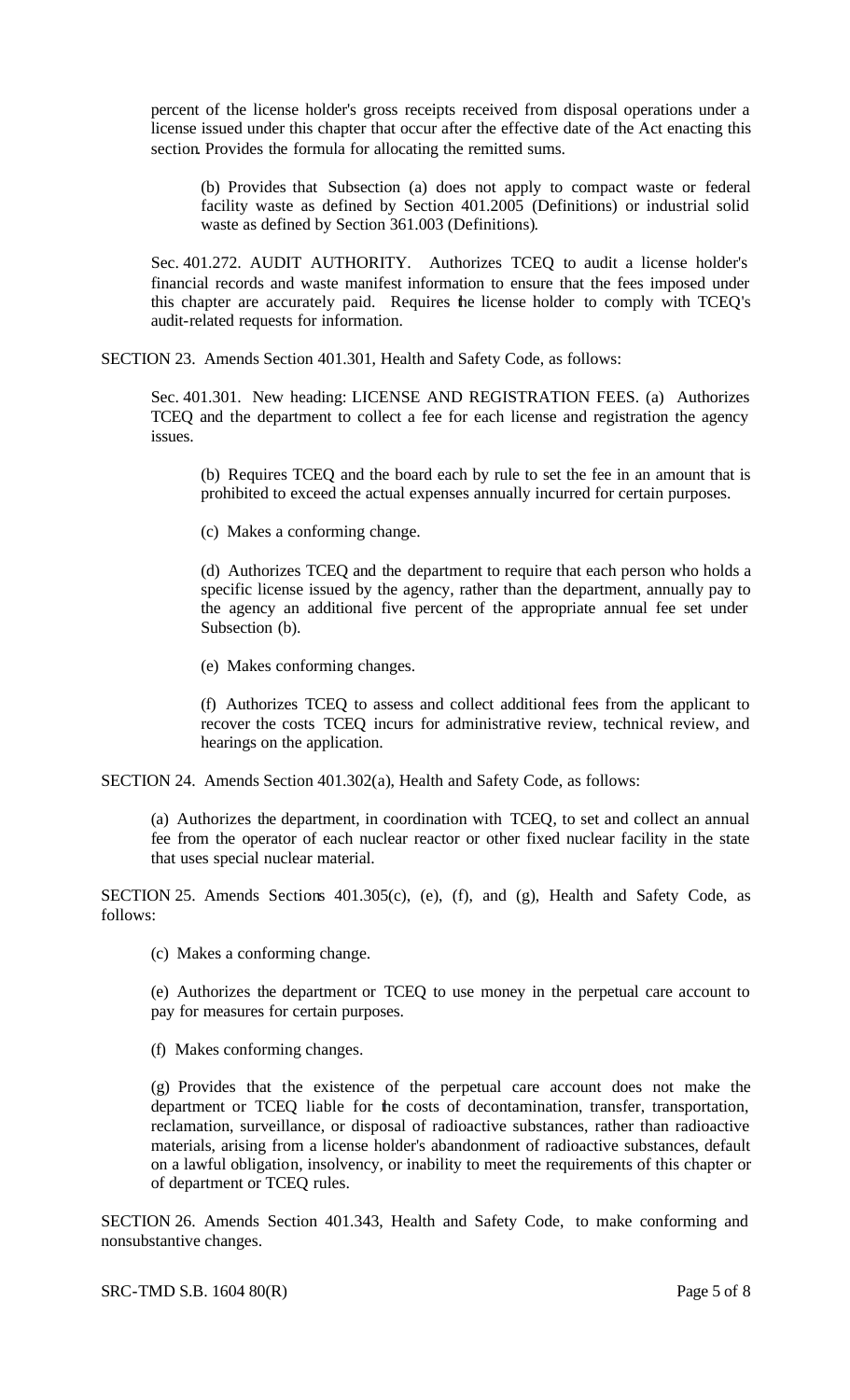percent of the license holder's gross receipts received from disposal operations under a license issued under this chapter that occur after the effective date of the Act enacting this section. Provides the formula for allocating the remitted sums.

(b) Provides that Subsection (a) does not apply to compact waste or federal facility waste as defined by Section 401.2005 (Definitions) or industrial solid waste as defined by Section 361.003 (Definitions).

Sec. 401.272. AUDIT AUTHORITY. Authorizes TCEQ to audit a license holder's financial records and waste manifest information to ensure that the fees imposed under this chapter are accurately paid. Requires the license holder to comply with TCEQ's audit-related requests for information.

SECTION 23. Amends Section 401.301, Health and Safety Code, as follows:

Sec. 401.301. New heading: LICENSE AND REGISTRATION FEES. (a) Authorizes TCEQ and the department to collect a fee for each license and registration the agency issues.

(b) Requires TCEQ and the board each by rule to set the fee in an amount that is prohibited to exceed the actual expenses annually incurred for certain purposes.

(c) Makes a conforming change.

(d) Authorizes TCEQ and the department to require that each person who holds a specific license issued by the agency, rather than the department, annually pay to the agency an additional five percent of the appropriate annual fee set under Subsection (b).

(e) Makes conforming changes.

(f) Authorizes TCEQ to assess and collect additional fees from the applicant to recover the costs TCEQ incurs for administrative review, technical review, and hearings on the application.

SECTION 24. Amends Section 401.302(a), Health and Safety Code, as follows:

(a) Authorizes the department, in coordination with TCEQ, to set and collect an annual fee from the operator of each nuclear reactor or other fixed nuclear facility in the state that uses special nuclear material.

SECTION 25. Amends Sections 401.305(c), (e), (f), and (g), Health and Safety Code, as follows:

(c) Makes a conforming change.

(e) Authorizes the department or TCEQ to use money in the perpetual care account to pay for measures for certain purposes.

(f) Makes conforming changes.

(g) Provides that the existence of the perpetual care account does not make the department or TCEQ liable for the costs of decontamination, transfer, transportation, reclamation, surveillance, or disposal of radioactive substances, rather than radioactive materials, arising from a license holder's abandonment of radioactive substances, default on a lawful obligation, insolvency, or inability to meet the requirements of this chapter or of department or TCEQ rules.

SECTION 26. Amends Section 401.343, Health and Safety Code, to make conforming and nonsubstantive changes.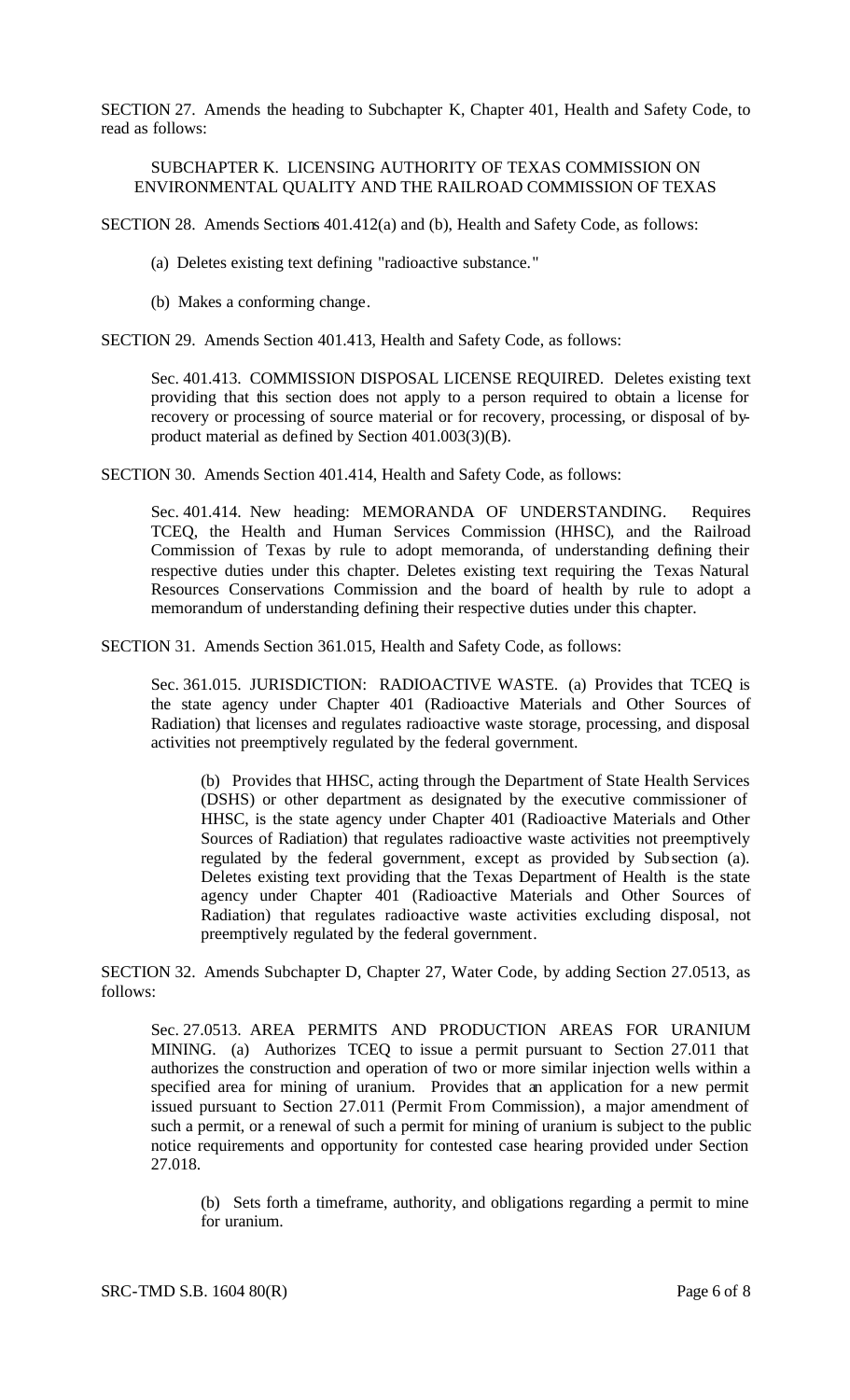SECTION 27. Amends the heading to Subchapter K, Chapter 401, Health and Safety Code, to read as follows:

### SUBCHAPTER K. LICENSING AUTHORITY OF TEXAS COMMISSION ON ENVIRONMENTAL QUALITY AND THE RAILROAD COMMISSION OF TEXAS

SECTION 28. Amends Sections 401.412(a) and (b), Health and Safety Code, as follows:

- (a) Deletes existing text defining "radioactive substance."
- (b) Makes a conforming change.

SECTION 29. Amends Section 401.413, Health and Safety Code, as follows:

Sec. 401.413. COMMISSION DISPOSAL LICENSE REQUIRED. Deletes existing text providing that this section does not apply to a person required to obtain a license for recovery or processing of source material or for recovery, processing, or disposal of byproduct material as defined by Section 401.003(3)(B).

SECTION 30. Amends Section 401.414, Health and Safety Code, as follows:

Sec. 401.414. New heading: MEMORANDA OF UNDERSTANDING. Requires TCEQ, the Health and Human Services Commission (HHSC), and the Railroad Commission of Texas by rule to adopt memoranda, of understanding defining their respective duties under this chapter. Deletes existing text requiring the Texas Natural Resources Conservations Commission and the board of health by rule to adopt a memorandum of understanding defining their respective duties under this chapter.

SECTION 31. Amends Section 361.015, Health and Safety Code, as follows:

Sec. 361.015. JURISDICTION: RADIOACTIVE WASTE. (a) Provides that TCEQ is the state agency under Chapter 401 (Radioactive Materials and Other Sources of Radiation) that licenses and regulates radioactive waste storage, processing, and disposal activities not preemptively regulated by the federal government.

(b) Provides that HHSC, acting through the Department of State Health Services (DSHS) or other department as designated by the executive commissioner of HHSC, is the state agency under Chapter 401 (Radioactive Materials and Other Sources of Radiation) that regulates radioactive waste activities not preemptively regulated by the federal government, except as provided by Subsection (a). Deletes existing text providing that the Texas Department of Health is the state agency under Chapter 401 (Radioactive Materials and Other Sources of Radiation) that regulates radioactive waste activities excluding disposal, not preemptively regulated by the federal government.

SECTION 32. Amends Subchapter D, Chapter 27, Water Code, by adding Section 27.0513, as follows:

Sec. 27.0513. AREA PERMITS AND PRODUCTION AREAS FOR URANIUM MINING. (a) Authorizes TCEQ to issue a permit pursuant to Section 27.011 that authorizes the construction and operation of two or more similar injection wells within a specified area for mining of uranium. Provides that an application for a new permit issued pursuant to Section 27.011 (Permit From Commission), a major amendment of such a permit, or a renewal of such a permit for mining of uranium is subject to the public notice requirements and opportunity for contested case hearing provided under Section 27.018.

(b) Sets forth a timeframe, authority, and obligations regarding a permit to mine for uranium.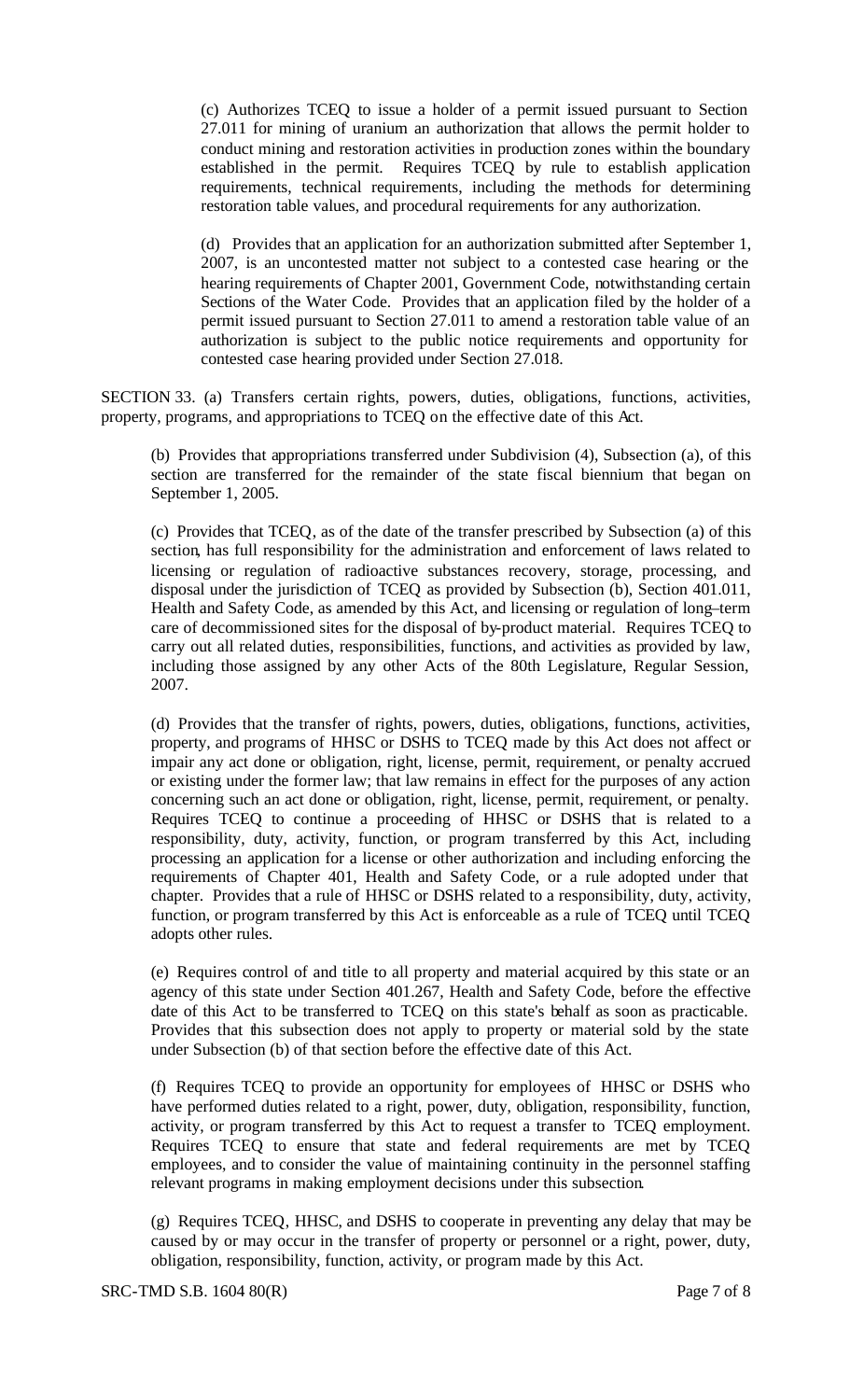(c) Authorizes TCEQ to issue a holder of a permit issued pursuant to Section 27.011 for mining of uranium an authorization that allows the permit holder to conduct mining and restoration activities in production zones within the boundary established in the permit. Requires TCEQ by rule to establish application requirements, technical requirements, including the methods for determining restoration table values, and procedural requirements for any authorization.

(d) Provides that an application for an authorization submitted after September 1, 2007, is an uncontested matter not subject to a contested case hearing or the hearing requirements of Chapter 2001, Government Code, notwithstanding certain Sections of the Water Code. Provides that an application filed by the holder of a permit issued pursuant to Section 27.011 to amend a restoration table value of an authorization is subject to the public notice requirements and opportunity for contested case hearing provided under Section 27.018.

SECTION 33. (a) Transfers certain rights, powers, duties, obligations, functions, activities, property, programs, and appropriations to TCEQ on the effective date of this Act.

(b) Provides that appropriations transferred under Subdivision (4), Subsection (a), of this section are transferred for the remainder of the state fiscal biennium that began on September 1, 2005.

(c) Provides that TCEQ, as of the date of the transfer prescribed by Subsection (a) of this section, has full responsibility for the administration and enforcement of laws related to licensing or regulation of radioactive substances recovery, storage, processing, and disposal under the jurisdiction of TCEQ as provided by Subsection (b), Section 401.011, Health and Safety Code, as amended by this Act, and licensing or regulation of long–term care of decommissioned sites for the disposal of by-product material. Requires TCEQ to carry out all related duties, responsibilities, functions, and activities as provided by law, including those assigned by any other Acts of the 80th Legislature, Regular Session, 2007.

(d) Provides that the transfer of rights, powers, duties, obligations, functions, activities, property, and programs of HHSC or DSHS to TCEQ made by this Act does not affect or impair any act done or obligation, right, license, permit, requirement, or penalty accrued or existing under the former law; that law remains in effect for the purposes of any action concerning such an act done or obligation, right, license, permit, requirement, or penalty. Requires TCEQ to continue a proceeding of HHSC or DSHS that is related to a responsibility, duty, activity, function, or program transferred by this Act, including processing an application for a license or other authorization and including enforcing the requirements of Chapter 401, Health and Safety Code, or a rule adopted under that chapter. Provides that a rule of HHSC or DSHS related to a responsibility, duty, activity, function, or program transferred by this Act is enforceable as a rule of TCEQ until TCEQ adopts other rules.

(e) Requires control of and title to all property and material acquired by this state or an agency of this state under Section 401.267, Health and Safety Code, before the effective date of this Act to be transferred to TCEQ on this state's behalf as soon as practicable. Provides that this subsection does not apply to property or material sold by the state under Subsection (b) of that section before the effective date of this Act.

(f) Requires TCEQ to provide an opportunity for employees of HHSC or DSHS who have performed duties related to a right, power, duty, obligation, responsibility, function, activity, or program transferred by this Act to request a transfer to TCEQ employment. Requires TCEQ to ensure that state and federal requirements are met by TCEQ employees, and to consider the value of maintaining continuity in the personnel staffing relevant programs in making employment decisions under this subsection.

(g) Requires TCEQ, HHSC, and DSHS to cooperate in preventing any delay that may be caused by or may occur in the transfer of property or personnel or a right, power, duty, obligation, responsibility, function, activity, or program made by this Act.